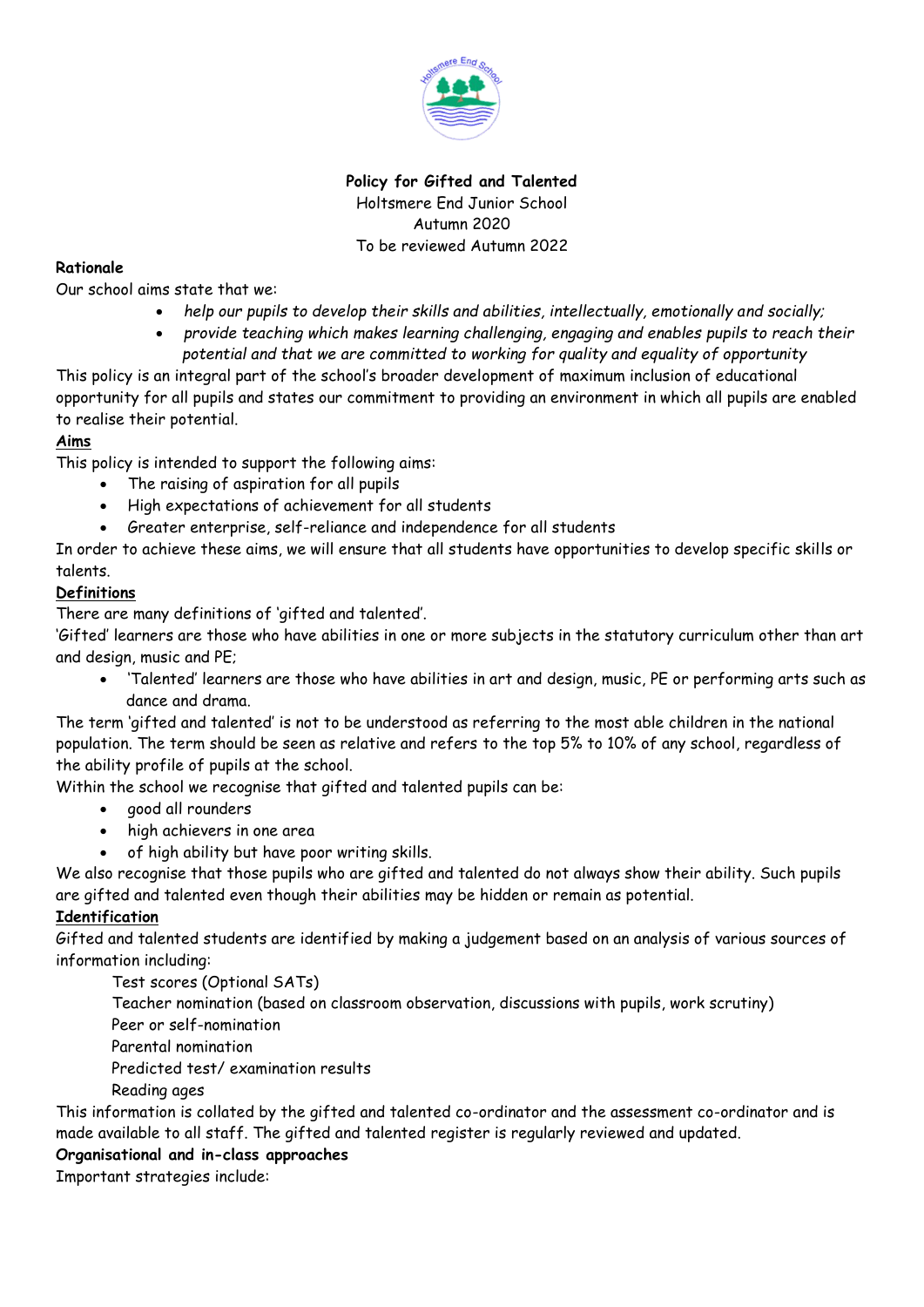

# **Policy for Gifted and Talented** Holtsmere End Junior School Autumn 2020 To be reviewed Autumn 2022

## **Rationale**

Our school aims state that we:

- *help our pupils to develop their skills and abilities, intellectually, emotionally and socially;*
- *provide teaching which makes learning challenging, engaging and enables pupils to reach their potential and that we are committed to working for quality and equality of opportunity*

This policy is an integral part of the school's broader development of maximum inclusion of educational opportunity for all pupils and states our commitment to providing an environment in which all pupils are enabled to realise their potential.

### **Aims**

This policy is intended to support the following aims:

- The raising of aspiration for all pupils
- High expectations of achievement for all students
- Greater enterprise, self-reliance and independence for all students

In order to achieve these aims, we will ensure that all students have opportunities to develop specific skills or talents.

### **Definitions**

There are many definitions of 'gifted and talented'.

'Gifted' learners are those who have abilities in one or more subjects in the statutory curriculum other than art and design, music and PE;

• 'Talented' learners are those who have abilities in art and design, music, PE or performing arts such as dance and drama.

The term 'gifted and talented' is not to be understood as referring to the most able children in the national population. The term should be seen as relative and refers to the top 5% to 10% of any school, regardless of the ability profile of pupils at the school.

Within the school we recognise that gifted and talented pupils can be:

- good all rounders
- high achievers in one area
- of high ability but have poor writing skills.

We also recognise that those pupils who are gifted and talented do not always show their ability. Such pupils are gifted and talented even though their abilities may be hidden or remain as potential.

#### **Identification**

Gifted and talented students are identified by making a judgement based on an analysis of various sources of information including:

Test scores (Optional SATs)

Teacher nomination (based on classroom observation, discussions with pupils, work scrutiny)

Peer or self-nomination

Parental nomination

Predicted test/ examination results

Reading ages

This information is collated by the gifted and talented co-ordinator and the assessment co-ordinator and is made available to all staff. The gifted and talented register is regularly reviewed and updated.

#### **Organisational and in-class approaches**

Important strategies include: